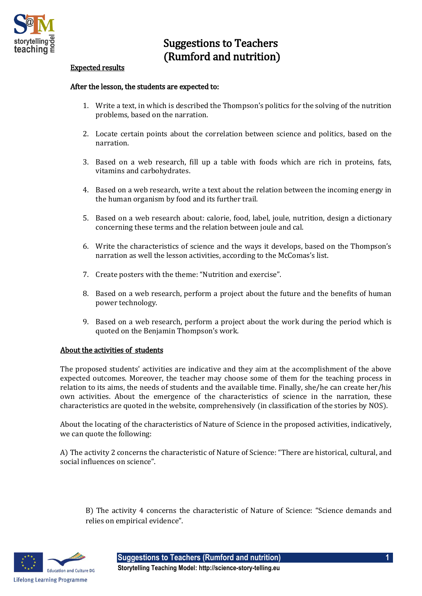

## Suggestions to Teachers (Rumford and nutrition)

## Expected results

## After the lesson, the students are expected to:

- 1. Write a text, in which is described the Thompson's politics for the solving of the nutrition problems, based on the narration.
- 2. Locate certain points about the correlation between science and politics, based on the narration.
- 3. Based on a web research, fill up a table with foods which are rich in proteins, fats, vitamins and carbohydrates.
- 4. Based on a web research, write a text about the relation between the incoming energy in the human organism by food and its further trail.
- 5. Based on a web research about: calorie, food, label, joule, nutrition, design a dictionary concerning these terms and the relation between joule and cal.
- 6. Write the characteristics of science and the ways it develops, based on the Thompson's narration as well the lesson activities, according to the McComas's list.
- 7. Create posters with the theme: "Nutrition and exercise".
- 8. Based on a web research, perform a project about the future and the benefits of human power technology.
- 9. Based on a web research, perform a project about the work during the period which is quoted on the Benjamin Thompson's work.

## About the activities of students

The proposed students' activities are indicative and they aim at the accomplishment of the above expected outcomes. Moreover, the teacher may choose some of them for the teaching process in relation to its aims, the needs of students and the available time. Finally, she/he can create her/his own activities. About the emergence of the characteristics of science in the narration, these characteristics are quoted in the website, comprehensively (in classification of the stories by NOS).

About the locating of the characteristics of Nature of Science in the proposed activities, indicatively, we can quote the following:

A) The activity 2 concerns the characteristic of Nature of Science: "There are historical, cultural, and social influences on science".

B) The activity 4 concerns the characteristic of Nature of Science: "Science demands and relies on empirical evidence".